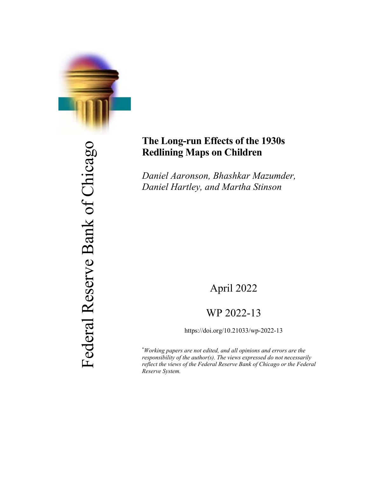

Federal Reserve Bank of Chicago Federal Reserve Bank of Chicago

# **The Long-run Effects of the 1930s Redlining Maps on Children**

*Daniel Aaronson, Bhashkar Mazumder, Daniel Hartley, and Martha Stinson*

# April 2022

# WP 2022-13

https://doi.org/10.21033/wp-2022-13

\* *Working papers are not edited, and all opinions and errors are the responsibility of the author(s). The views expressed do not necessarily reflect the views of the Federal Reserve Bank of Chicago or the Federal Reserve System.*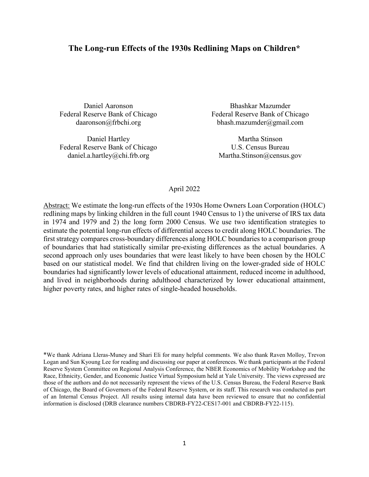# **The Long-run Effects of the 1930s Redlining Maps on Children\***

Daniel Aaronson Federal Reserve Bank of Chicago daaronson@frbchi.org

Daniel Hartley Federal Reserve Bank of Chicago daniel.a.hartley@chi.frb.org

Bhashkar Mazumder Federal Reserve Bank of Chicago bhash.mazumder@gmail.com

Martha Stinson U.S. Census Bureau Martha.Stinson@census.gov

# April 2022

Abstract: We estimate the long-run effects of the 1930s Home Owners Loan Corporation (HOLC) redlining maps by linking children in the full count 1940 Census to 1) the universe of IRS tax data in 1974 and 1979 and 2) the long form 2000 Census. We use two identification strategies to estimate the potential long-run effects of differential access to credit along HOLC boundaries. The first strategy compares cross-boundary differences along HOLC boundaries to a comparison group of boundaries that had statistically similar pre-existing differences as the actual boundaries. A second approach only uses boundaries that were least likely to have been chosen by the HOLC based on our statistical model. We find that children living on the lower-graded side of HOLC boundaries had significantly lower levels of educational attainment, reduced income in adulthood, and lived in neighborhoods during adulthood characterized by lower educational attainment, higher poverty rates, and higher rates of single-headed households.

\*We thank Adriana Lleras-Muney and Shari Eli for many helpful comments. We also thank Raven Molloy, Trevon Logan and Sun Kyoung Lee for reading and discussing our paper at conferences. We thank participants at the Federal Reserve System Committee on Regional Analysis Conference, the NBER Economics of Mobility Workshop and the Race, Ethnicity, Gender, and Economic Justice Virtual Symposium held at Yale University. The views expressed are those of the authors and do not necessarily represent the views of the U.S. Census Bureau, the Federal Reserve Bank of Chicago, the Board of Governors of the Federal Reserve System, or its staff. This research was conducted as part of an Internal Census Project. All results using internal data have been reviewed to ensure that no confidential information is disclosed (DRB clearance numbers CBDRB-FY22-CES17-001 and CBDRB-FY22-115).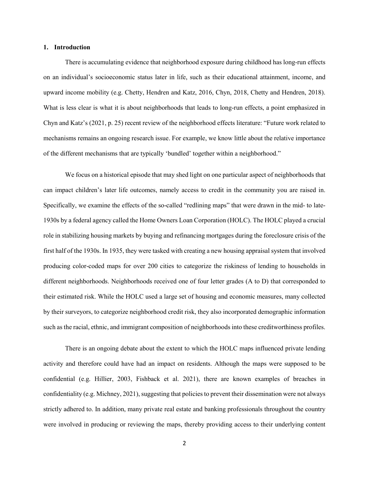#### **1. Introduction**

There is accumulating evidence that neighborhood exposure during childhood has long-run effects on an individual's socioeconomic status later in life, such as their educational attainment, income, and upward income mobility (e.g. Chetty, Hendren and Katz, 2016, Chyn, 2018, Chetty and Hendren, 2018). What is less clear is what it is about neighborhoods that leads to long-run effects, a point emphasized in Chyn and Katz's (2021, p. 25) recent review of the neighborhood effects literature: "Future work related to mechanisms remains an ongoing research issue. For example, we know little about the relative importance of the different mechanisms that are typically 'bundled' together within a neighborhood."

We focus on a historical episode that may shed light on one particular aspect of neighborhoods that can impact children's later life outcomes, namely access to credit in the community you are raised in. Specifically, we examine the effects of the so-called "redlining maps" that were drawn in the mid- to late-1930s by a federal agency called the Home Owners Loan Corporation (HOLC). The HOLC played a crucial role in stabilizing housing markets by buying and refinancing mortgages during the foreclosure crisis of the first half of the 1930s. In 1935, they were tasked with creating a new housing appraisal system that involved producing color-coded maps for over 200 cities to categorize the riskiness of lending to households in different neighborhoods. Neighborhoods received one of four letter grades (A to D) that corresponded to their estimated risk. While the HOLC used a large set of housing and economic measures, many collected by their surveyors, to categorize neighborhood credit risk, they also incorporated demographic information such as the racial, ethnic, and immigrant composition of neighborhoods into these creditworthiness profiles.

There is an ongoing debate about the extent to which the HOLC maps influenced private lending activity and therefore could have had an impact on residents. Although the maps were supposed to be confidential (e.g. Hillier, 2003, Fishback et al. 2021), there are known examples of breaches in confidentiality (e.g. Michney, 2021), suggesting that policies to prevent their dissemination were not always strictly adhered to. In addition, many private real estate and banking professionals throughout the country were involved in producing or reviewing the maps, thereby providing access to their underlying content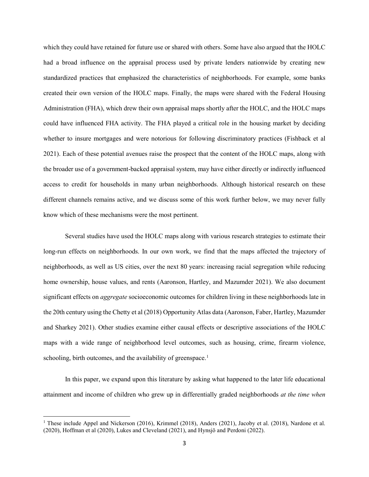which they could have retained for future use or shared with others. Some have also argued that the HOLC had a broad influence on the appraisal process used by private lenders nationwide by creating new standardized practices that emphasized the characteristics of neighborhoods. For example, some banks created their own version of the HOLC maps. Finally, the maps were shared with the Federal Housing Administration (FHA), which drew their own appraisal maps shortly after the HOLC, and the HOLC maps could have influenced FHA activity. The FHA played a critical role in the housing market by deciding whether to insure mortgages and were notorious for following discriminatory practices (Fishback et al 2021). Each of these potential avenues raise the prospect that the content of the HOLC maps, along with the broader use of a government-backed appraisal system, may have either directly or indirectly influenced access to credit for households in many urban neighborhoods. Although historical research on these different channels remains active, and we discuss some of this work further below, we may never fully know which of these mechanisms were the most pertinent.

Several studies have used the HOLC maps along with various research strategies to estimate their long-run effects on neighborhoods. In our own work, we find that the maps affected the trajectory of neighborhoods, as well as US cities, over the next 80 years: increasing racial segregation while reducing home ownership, house values, and rents (Aaronson, Hartley, and Mazumder 2021). We also document significant effects on *aggregate* socioeconomic outcomes for children living in these neighborhoods late in the 20th century using the Chetty et al (2018) Opportunity Atlas data (Aaronson, Faber, Hartley, Mazumder and Sharkey 2021). Other studies examine either causal effects or descriptive associations of the HOLC maps with a wide range of neighborhood level outcomes, such as housing, crime, firearm violence, schooling, birth outcomes, and the availability of greenspace.<sup>[1](#page-3-0)</sup>

In this paper, we expand upon this literature by asking what happened to the later life educational attainment and income of children who grew up in differentially graded neighborhoods *at the time when* 

<span id="page-3-0"></span><sup>&</sup>lt;sup>1</sup> These include Appel and Nickerson (2016), Krimmel (2018), Anders (2021), Jacoby et al. (2018), Nardone et al. (2020), Hoffman et al (2020), Lukes and Cleveland (2021), and Hynsjö and Perdoni (2022).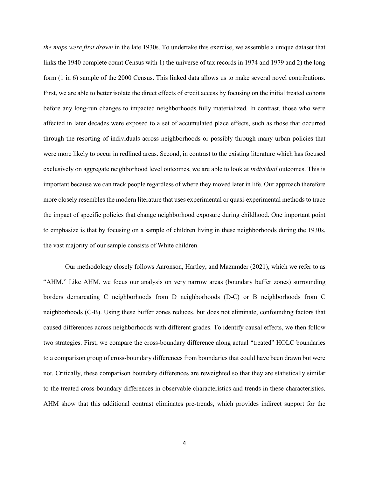*the maps were first drawn* in the late 1930s. To undertake this exercise, we assemble a unique dataset that links the 1940 complete count Census with 1) the universe of tax records in 1974 and 1979 and 2) the long form (1 in 6) sample of the 2000 Census. This linked data allows us to make several novel contributions. First, we are able to better isolate the direct effects of credit access by focusing on the initial treated cohorts before any long-run changes to impacted neighborhoods fully materialized. In contrast, those who were affected in later decades were exposed to a set of accumulated place effects, such as those that occurred through the resorting of individuals across neighborhoods or possibly through many urban policies that were more likely to occur in redlined areas. Second, in contrast to the existing literature which has focused exclusively on aggregate neighborhood level outcomes, we are able to look at *individual* outcomes. This is important because we can track people regardless of where they moved later in life. Our approach therefore more closely resembles the modern literature that uses experimental or quasi-experimental methods to trace the impact of specific policies that change neighborhood exposure during childhood. One important point to emphasize is that by focusing on a sample of children living in these neighborhoods during the 1930s, the vast majority of our sample consists of White children.

Our methodology closely follows Aaronson, Hartley, and Mazumder (2021), which we refer to as "AHM." Like AHM, we focus our analysis on very narrow areas (boundary buffer zones) surrounding borders demarcating C neighborhoods from D neighborhoods (D-C) or B neighborhoods from C neighborhoods (C-B). Using these buffer zones reduces, but does not eliminate, confounding factors that caused differences across neighborhoods with different grades. To identify causal effects, we then follow two strategies. First, we compare the cross-boundary difference along actual "treated" HOLC boundaries to a comparison group of cross-boundary differences from boundaries that could have been drawn but were not. Critically, these comparison boundary differences are reweighted so that they are statistically similar to the treated cross-boundary differences in observable characteristics and trends in these characteristics. AHM show that this additional contrast eliminates pre-trends, which provides indirect support for the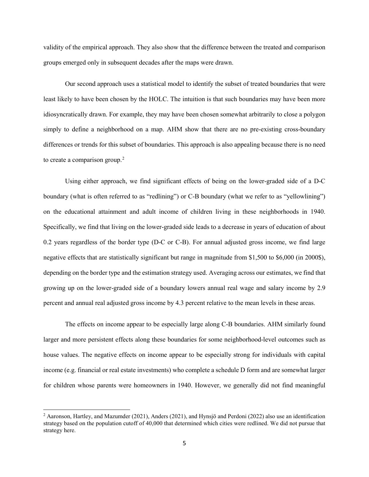validity of the empirical approach. They also show that the difference between the treated and comparison groups emerged only in subsequent decades after the maps were drawn.

Our second approach uses a statistical model to identify the subset of treated boundaries that were least likely to have been chosen by the HOLC. The intuition is that such boundaries may have been more idiosyncratically drawn. For example, they may have been chosen somewhat arbitrarily to close a polygon simply to define a neighborhood on a map. AHM show that there are no pre-existing cross-boundary differences or trends for this subset of boundaries. This approach is also appealing because there is no need to create a comparison group. $2$ 

Using either approach, we find significant effects of being on the lower-graded side of a D-C boundary (what is often referred to as "redlining") or C-B boundary (what we refer to as "yellowlining") on the educational attainment and adult income of children living in these neighborhoods in 1940. Specifically, we find that living on the lower-graded side leads to a decrease in years of education of about 0.2 years regardless of the border type (D-C or C-B). For annual adjusted gross income, we find large negative effects that are statistically significant but range in magnitude from \$1,500 to \$6,000 (in 2000\$), depending on the border type and the estimation strategy used. Averaging across our estimates, we find that growing up on the lower-graded side of a boundary lowers annual real wage and salary income by 2.9 percent and annual real adjusted gross income by 4.3 percent relative to the mean levels in these areas.

The effects on income appear to be especially large along C-B boundaries. AHM similarly found larger and more persistent effects along these boundaries for some neighborhood-level outcomes such as house values. The negative effects on income appear to be especially strong for individuals with capital income (e.g. financial or real estate investments) who complete a schedule D form and are somewhat larger for children whose parents were homeowners in 1940. However, we generally did not find meaningful

<span id="page-5-0"></span><sup>2</sup> Aaronson, Hartley, and Mazumder (2021), Anders (2021), and Hynsjö and Perdoni (2022) also use an identification strategy based on the population cutoff of 40,000 that determined which cities were redlined. We did not pursue that strategy here.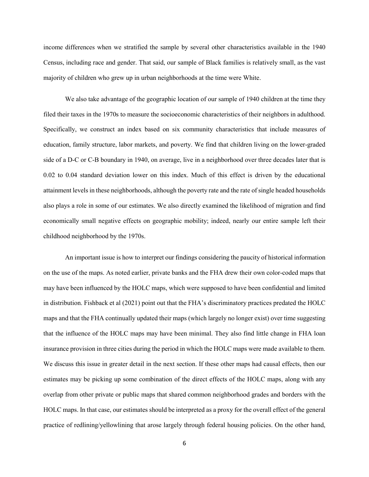income differences when we stratified the sample by several other characteristics available in the 1940 Census, including race and gender. That said, our sample of Black families is relatively small, as the vast majority of children who grew up in urban neighborhoods at the time were White.

We also take advantage of the geographic location of our sample of 1940 children at the time they filed their taxes in the 1970s to measure the socioeconomic characteristics of their neighbors in adulthood. Specifically, we construct an index based on six community characteristics that include measures of education, family structure, labor markets, and poverty. We find that children living on the lower-graded side of a D-C or C-B boundary in 1940, on average, live in a neighborhood over three decades later that is 0.02 to 0.04 standard deviation lower on this index. Much of this effect is driven by the educational attainment levels in these neighborhoods, although the poverty rate and the rate of single headed households also plays a role in some of our estimates. We also directly examined the likelihood of migration and find economically small negative effects on geographic mobility; indeed, nearly our entire sample left their childhood neighborhood by the 1970s.

An important issue is how to interpret our findings considering the paucity of historical information on the use of the maps. As noted earlier, private banks and the FHA drew their own color-coded maps that may have been influenced by the HOLC maps, which were supposed to have been confidential and limited in distribution. Fishback et al (2021) point out that the FHA's discriminatory practices predated the HOLC maps and that the FHA continually updated their maps (which largely no longer exist) over time suggesting that the influence of the HOLC maps may have been minimal. They also find little change in FHA loan insurance provision in three cities during the period in which the HOLC maps were made available to them. We discuss this issue in greater detail in the next section. If these other maps had causal effects, then our estimates may be picking up some combination of the direct effects of the HOLC maps, along with any overlap from other private or public maps that shared common neighborhood grades and borders with the HOLC maps. In that case, our estimates should be interpreted as a proxy for the overall effect of the general practice of redlining/yellowlining that arose largely through federal housing policies. On the other hand,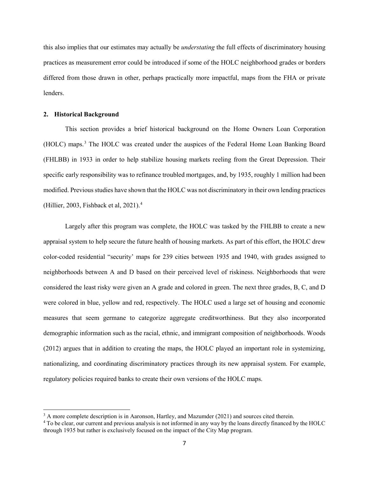this also implies that our estimates may actually be *understating* the full effects of discriminatory housing practices as measurement error could be introduced if some of the HOLC neighborhood grades or borders differed from those drawn in other, perhaps practically more impactful, maps from the FHA or private lenders.

#### **2. Historical Background**

l

This section provides a brief historical background on the Home Owners Loan Corporation (HOLC) maps. [3](#page-7-0) The HOLC was created under the auspices of the Federal Home Loan Banking Board (FHLBB) in 1933 in order to help stabilize housing markets reeling from the Great Depression. Their specific early responsibility was to refinance troubled mortgages, and, by 1935, roughly 1 million had been modified. Previous studies have shown that the HOLC was not discriminatory in their own lending practices (Hillier, 2003, Fishback et al, 2021).[4](#page-7-1)

Largely after this program was complete, the HOLC was tasked by the FHLBB to create a new appraisal system to help secure the future health of housing markets. As part of this effort, the HOLC drew color-coded residential "security' maps for 239 cities between 1935 and 1940, with grades assigned to neighborhoods between A and D based on their perceived level of riskiness. Neighborhoods that were considered the least risky were given an A grade and colored in green. The next three grades, B, C, and D were colored in blue, yellow and red, respectively. The HOLC used a large set of housing and economic measures that seem germane to categorize aggregate creditworthiness. But they also incorporated demographic information such as the racial, ethnic, and immigrant composition of neighborhoods. Woods (2012) argues that in addition to creating the maps, the HOLC played an important role in systemizing, nationalizing, and coordinating discriminatory practices through its new appraisal system. For example, regulatory policies required banks to create their own versions of the HOLC maps.

<span id="page-7-0"></span><sup>&</sup>lt;sup>3</sup> A more complete description is in Aaronson, Hartley, and Mazumder (2021) and sources cited therein.

<span id="page-7-1"></span><sup>4</sup> To be clear, our current and previous analysis is not informed in any way by the loans directly financed by the HOLC through 1935 but rather is exclusively focused on the impact of the City Map program.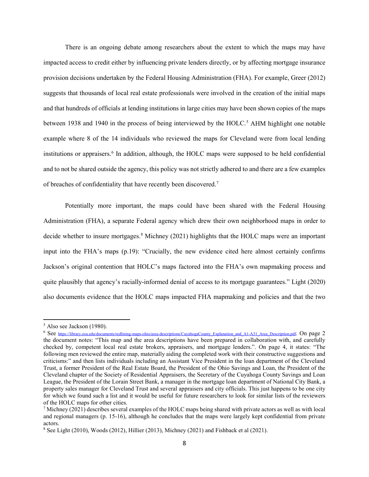There is an ongoing debate among researchers about the extent to which the maps may have impacted access to credit either by influencing private lenders directly, or by affecting mortgage insurance provision decisions undertaken by the Federal Housing Administration (FHA). For example, Greer (2012) suggests that thousands of local real estate professionals were involved in the creation of the initial maps and that hundreds of officials at lending institutions in large cities may have been shown copies of the maps between 1938 and 1940 in the process of being interviewed by the HOLC.<sup>[5](#page-8-0)</sup> AHM highlight one notable example where 8 of the 14 individuals who reviewed the maps for Cleveland were from local lending institutions or appraisers.[6](#page-8-1) In addition, although, the HOLC maps were supposed to be held confidential and to not be shared outside the agency, this policy was not strictly adhered to and there are a few examples of breaches of confidentiality that have recently been discovered.<sup>[7](#page-8-2)</sup>

Potentially more important, the maps could have been shared with the Federal Housing Administration (FHA), a separate Federal agency which drew their own neighborhood maps in order to decide whether to insure mortgages.<sup>[8](#page-8-3)</sup> Michney (2021) highlights that the HOLC maps were an important input into the FHA's maps (p.19): "Crucially, the new evidence cited here almost certainly confirms Jackson's original contention that HOLC's maps factored into the FHA's own mapmaking process and quite plausibly that agency's racially-informed denial of access to its mortgage guarantees." Light (2020) also documents evidence that the HOLC maps impacted FHA mapmaking and policies and that the two

<span id="page-8-0"></span> $<sup>5</sup>$  Also see Jackson (1980).</sup>

<span id="page-8-1"></span><sup>6</sup> See [https://library.osu.edu/documents/redlining-maps-ohio/area-descriptions/CuyahogaCounty\\_Explanation\\_and\\_A1-A31\\_Area\\_Description.pdf.](https://library.osu.edu/documents/redlining-maps-ohio/area-descriptions/CuyahogaCounty_Explanation_and_A1-A31_Area_Description.pdf) On page 2 the document notes: "This map and the area descriptions have been prepared in collaboration with, and carefully checked by, competent local real estate brokers, appraisers, and mortgage lenders.". On page 4, it states: "The following men reviewed the entire map, materially aiding the completed work with their constructive suggestions and criticisms:" and then lists individuals including an Assistant Vice President in the loan department of the Cleveland Trust, a former President of the Real Estate Board, the President of the Ohio Savings and Loan, the President of the Cleveland chapter of the Society of Residential Appraisers, the Secretary of the Cuyahoga County Savings and Loan League, the President of the Lorain Street Bank, a manager in the mortgage loan department of National City Bank, a property sales manager for Cleveland Trust and several appraisers and city officials. This just happens to be one city for which we found such a list and it would be useful for future researchers to look for similar lists of the reviewers of the HOLC maps for other cities.

<span id="page-8-2"></span><sup>7</sup> Michney (2021) describes several examples of the HOLC maps being shared with private actors as well as with local and regional managers (p. 15-16), although he concludes that the maps were largely kept confidential from private actors.<br><sup>8</sup> See Light (2010), Woods (2012), Hillier (2013), Michney (2021) and Fishback et al (2021).

<span id="page-8-3"></span>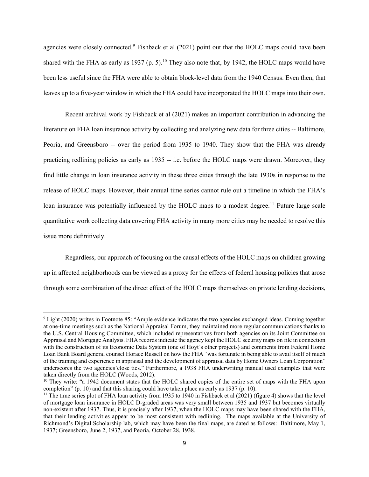agencies were closely connected.<sup>[9](#page-9-0)</sup> Fishback et al (2021) point out that the HOLC maps could have been shared with the FHA as early as 1937 (p. 5).<sup>[10](#page-9-1)</sup> They also note that, by 1942, the HOLC maps would have been less useful since the FHA were able to obtain block-level data from the 1940 Census. Even then, that leaves up to a five-year window in which the FHA could have incorporated the HOLC maps into their own.

Recent archival work by Fishback et al (2021) makes an important contribution in advancing the literature on FHA loan insurance activity by collecting and analyzing new data for three cities -- Baltimore, Peoria, and Greensboro -- over the period from 1935 to 1940. They show that the FHA was already practicing redlining policies as early as 1935 -- i.e. before the HOLC maps were drawn. Moreover, they find little change in loan insurance activity in these three cities through the late 1930s in response to the release of HOLC maps. However, their annual time series cannot rule out a timeline in which the FHA's loan insurance was potentially influenced by the HOLC maps to a modest degree.<sup>[11](#page-9-2)</sup> Future large scale quantitative work collecting data covering FHA activity in many more cities may be needed to resolve this issue more definitively.

Regardless, our approach of focusing on the causal effects of the HOLC maps on children growing up in affected neighborhoods can be viewed as a proxy for the effects of federal housing policies that arose through some combination of the direct effect of the HOLC maps themselves on private lending decisions,

 $\overline{\phantom{a}}$ 

<span id="page-9-0"></span><sup>9</sup> Light (2020) writes in Footnote 85: "Ample evidence indicates the two agencies exchanged ideas. Coming together at one-time meetings such as the National Appraisal Forum, they maintained more regular communications thanks to the U.S. Central Housing Committee, which included representatives from both agencies on its Joint Committee on Appraisal and Mortgage Analysis. FHA records indicate the agency kept the HOLC security maps on file in connection with the construction of its Economic Data System (one of Hoyt's other projects) and comments from Federal Home Loan Bank Board general counsel Horace Russell on how the FHA "was fortunate in being able to avail itself of much of the training and experience in appraisal and the development of appraisal data by Home Owners Loan Corporation" underscores the two agencies'close ties." Furthermore, a 1938 FHA underwriting manual used examples that were

<span id="page-9-1"></span>taken directly from the HOLC (Woods, 2012).<br><sup>10</sup> They write: "a 1942 document states that the HOLC shared copies of the entire set of maps with the FHA upon<br>completion" (p. 10) and that this sharing could have taken place

<span id="page-9-2"></span><sup>&</sup>lt;sup>11</sup> The time series plot of FHA loan activity from 1935 to 1940 in Fishback et al  $(2021)$  (figure 4) shows that the level of mortgage loan insurance in HOLC D-graded areas was very small between 1935 and 1937 but becomes virtually non-existent after 1937. Thus, it is precisely after 1937, when the HOLC maps may have been shared with the FHA, that their lending activities appear to be most consistent with redlining. The maps available at the University of Richmond's Digital Scholarship lab, which may have been the final maps, are dated as follows: Baltimore, May 1, 1937; Greensboro, June 2, 1937, and Peoria, October 28, 1938.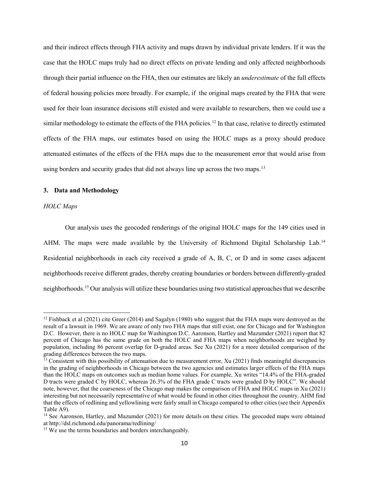and their indirect effects through FHA activity and maps drawn by individual private lenders. If it was the case that the HOLC maps truly had no direct effects on private lending and only affected neighborhoods through their partial influence on the FHA, then our estimates are likely an *underestimate* of the full effects of federal housing policies more broadly. For example, if the original maps created by the FHA that were used for their loan insurance decisions still existed and were available to researchers, then we could use a similar methodology to estimate the effects of the FHA policies.<sup>[12](#page-10-0)</sup> In that case, relative to directly estimated effects of the FHA maps, our estimates based on using the HOLC maps as a proxy should produce attenuated estimates of the effects of the FHA maps due to the measurement error that would arise from using borders and security grades that did not always line up across the two maps.<sup>[13](#page-10-1)</sup>

#### **3. Data and Methodology**

#### *HOLC Maps*

 $\overline{\phantom{a}}$ 

Our analysis uses the geocoded renderings of the original HOLC maps for the 149 cities used in AHM. The maps were made available by the University of Richmond Digital Scholarship Lab.<sup>[14](#page-10-2)</sup> Residential neighborhoods in each city received a grade of A, B, C, or D and in some cases adjacent neighborhoods receive different grades, thereby creating boundaries or borders between differently-graded neighborhoods. [15](#page-10-3) Our analysis will utilize these boundaries using two statistical approaches that we describe

<span id="page-10-0"></span><sup>&</sup>lt;sup>12</sup> Fishback et al (2021) cite Greer (2014) and Sagalyn (1980) who suggest that the FHA maps were destroyed as the result of a lawsuit in 1969. We are aware of only two FHA maps that still exist, one for Chicago and for Washington D.C. However, there is no HOLC map for Washington D.C. Aaronson, Hartley and Mazumder (2021) report that 82 percent of Chicago has the same grade on both the HOLC and FHA maps when neighborhoods are weighed by population, including 86 percent overlap for D-graded areas. See Xu (2021) for a more detailed comparison of the grading differences between the two maps.

<span id="page-10-1"></span><sup>&</sup>lt;sup>13</sup> Consistent with this possibility of attenuation due to measurement error, Xu (2021) finds meaningful discrepancies in the grading of neighborhoods in Chicago between the two agencies and estimates larger effects of the FHA maps than the HOLC maps on outcomes such as median home values. For example, Xu writes "14.4% of the FHA-graded D tracts were graded C by HOLC, whereas 26.3% of the FHA grade C tracts were graded D by HOLC". We should note, however, that the coarseness of the Chicago map makes the comparison of FHA and HOLC maps in Xu (2021) interesting but not necessarily representative of what would be found in other cities throughout the country. AHM find that the effects of redlining and yellowlining were fairly small in Chicago compared to other cities (see their Appendix Table A9).

<span id="page-10-2"></span><sup>&</sup>lt;sup>14</sup> See Aaronson, Hartley, and Mazumder (2021) for more details on these cities. The geocoded maps were obtained at http://dsl.richmond.edu/panorama/redlining/

<span id="page-10-3"></span><sup>&</sup>lt;sup>15</sup> We use the terms boundaries and borders interchangeably.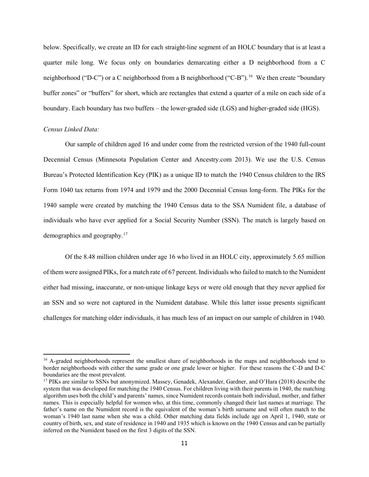below. Specifically, we create an ID for each straight-line segment of an HOLC boundary that is at least a quarter mile long. We focus only on boundaries demarcating either a D neighborhood from a C neighborhood ("D-C") or a C neighborhood from a B neighborhood ("C-B").<sup>[16](#page-11-0)</sup> We then create "boundary buffer zones" or "buffers" for short, which are rectangles that extend a quarter of a mile on each side of a boundary. Each boundary has two buffers – the lower-graded side (LGS) and higher-graded side (HGS).

#### *Census Linked Data:*

 $\overline{\phantom{a}}$ 

Our sample of children aged 16 and under come from the restricted version of the 1940 full-count Decennial Census (Minnesota Population Center and Ancestry.com 2013). We use the U.S. Census Bureau's Protected Identification Key (PIK) as a unique ID to match the 1940 Census children to the IRS Form 1040 tax returns from 1974 and 1979 and the 2000 Decennial Census long-form. The PIKs for the 1940 sample were created by matching the 1940 Census data to the SSA Numident file, a database of individuals who have ever applied for a Social Security Number (SSN). The match is largely based on demographics and geography. [17](#page-11-1)

Of the 8.48 million children under age 16 who lived in an HOLC city, approximately 5.65 million of them were assigned PIKs, for a match rate of 67 percent. Individuals who failed to match to the Numident either had missing, inaccurate, or non-unique linkage keys or were old enough that they never applied for an SSN and so were not captured in the Numident database. While this latter issue presents significant challenges for matching older individuals, it has much less of an impact on our sample of children in 1940.

<span id="page-11-0"></span><sup>&</sup>lt;sup>16</sup> A-graded neighborhoods represent the smallest share of neighborhoods in the maps and neighborhoods tend to border neighborhoods with either the same grade or one grade lower or higher. For these reasons the C-D and D-C boundaries are the most prevalent.

<span id="page-11-1"></span><sup>17</sup> PIKs are similar to SSNs but anonymized. Massey, Genadek, Alexander, Gardner, and O'Hara (2018) describe the system that was developed for matching the 1940 Census. For children living with their parents in 1940, the matching algorithm uses both the child's and parents' names, since Numident records contain both individual, mother, and father names. This is especially helpful for women who, at this time, commonly changed their last names at marriage. The father's name on the Numident record is the equivalent of the woman's birth surname and will often match to the woman's 1940 last name when she was a child. Other matching data fields include age on April 1, 1940, state or country of birth, sex, and state of residence in 1940 and 1935 which is known on the 1940 Census and can be partially inferred on the Numident based on the first 3 digits of the SSN.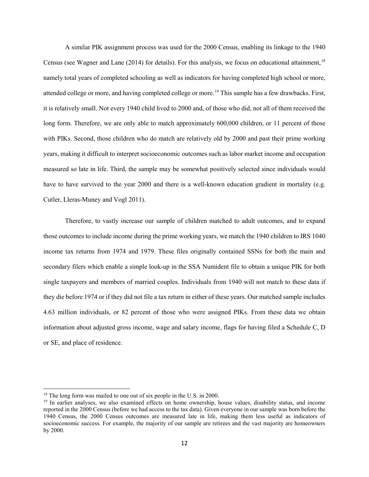A similar PIK assignment process was used for the 2000 Census, enabling its linkage to the 1940 Census (see Wagner and Lane (2014) for details). For this analysis, we focus on educational attainment, <sup>[18](#page-12-0)</sup> namely total years of completed schooling as well as indicators for having completed high school or more, attended college or more, and having completed college or more.<sup>[19](#page-12-1)</sup> This sample has a few drawbacks. First, it is relatively small. Not every 1940 child lived to 2000 and, of those who did, not all of them received the long form. Therefore, we are only able to match approximately 600,000 children, or 11 percent of those with PIKs. Second, those children who do match are relatively old by 2000 and past their prime working years, making it difficult to interpret socioeconomic outcomes such as labor market income and occupation measured so late in life. Third, the sample may be somewhat positively selected since individuals would have to have survived to the year 2000 and there is a well-known education gradient in mortality (e.g. Cutler, Lleras-Muney and Vogl 2011).

Therefore, to vastly increase our sample of children matched to adult outcomes, and to expand those outcomes to include income during the prime working years, we match the 1940 children to IRS 1040 income tax returns from 1974 and 1979. These files originally contained SSNs for both the main and secondary filers which enable a simple look-up in the SSA Numident file to obtain a unique PIK for both single taxpayers and members of married couples. Individuals from 1940 will not match to these data if they die before 1974 or if they did not file a tax return in either of these years. Our matched sample includes 4.63 million individuals, or 82 percent of those who were assigned PIKs. From these data we obtain information about adjusted gross income, wage and salary income, flags for having filed a Schedule C, D or SE, and place of residence.

 $\overline{a}$ 

<span id="page-12-0"></span><sup>&</sup>lt;sup>18</sup> The long form was mailed to one out of six people in the U.S. in 2000.

<span id="page-12-1"></span><sup>&</sup>lt;sup>19</sup> In earlier analyses, we also examined effects on home ownership, house values, disability status, and income reported in the 2000 Census (before we had access to the tax data). Given everyone in our sample was born before the 1940 Census, the 2000 Census outcomes are measured late in life, making them less useful as indicators of socioeconomic success. For example, the majority of our sample are retirees and the vast majority are homeowners by 2000.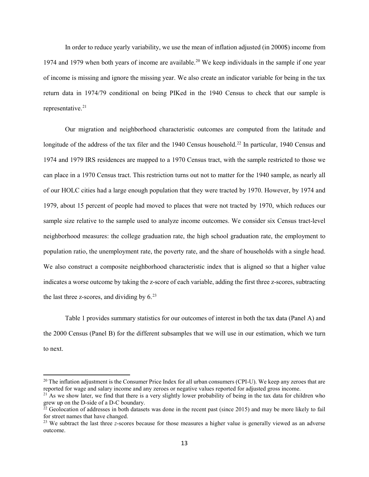In order to reduce yearly variability, we use the mean of inflation adjusted (in 2000\$) income from 1974 and 1979 when both years of income are available. [20](#page-13-0) We keep individuals in the sample if one year of income is missing and ignore the missing year. We also create an indicator variable for being in the tax return data in 1974/79 conditional on being PIKed in the 1940 Census to check that our sample is representative.<sup>[21](#page-13-1)</sup>

Our migration and neighborhood characteristic outcomes are computed from the latitude and longitude of the address of the tax filer and the 1940 Census household.<sup>[22](#page-13-2)</sup> In particular, 1940 Census and 1974 and 1979 IRS residences are mapped to a 1970 Census tract, with the sample restricted to those we can place in a 1970 Census tract. This restriction turns out not to matter for the 1940 sample, as nearly all of our HOLC cities had a large enough population that they were tracted by 1970. However, by 1974 and 1979, about 15 percent of people had moved to places that were not tracted by 1970, which reduces our sample size relative to the sample used to analyze income outcomes. We consider six Census tract-level neighborhood measures: the college graduation rate, the high school graduation rate, the employment to population ratio, the unemployment rate, the poverty rate, and the share of households with a single head. We also construct a composite neighborhood characteristic index that is aligned so that a higher value indicates a worse outcome by taking the z-score of each variable, adding the first three z-scores, subtracting the last three z-scores, and dividing by  $6^{23}$  $6^{23}$  $6^{23}$ 

Table 1 provides summary statistics for our outcomes of interest in both the tax data (Panel A) and the 2000 Census (Panel B) for the different subsamples that we will use in our estimation, which we turn to next.

<span id="page-13-0"></span> $^{20}$  The inflation adjustment is the Consumer Price Index for all urban consumers (CPI-U). We keep any zeroes that are reported for wage and salary income and any zeroes or negative values reported for adjusted gross income.

<span id="page-13-1"></span> $^{21}$ As we show later, we find that there is a very slightly lower probability of being in the tax data for children who grew up on the D-side of a D-C boundary.

<span id="page-13-2"></span><sup>&</sup>lt;sup>22</sup> Geolocation of addresses in both datasets was done in the recent past (since 2015) and may be more likely to fail for street names that have changed.

<span id="page-13-3"></span><sup>&</sup>lt;sup>23</sup> We subtract the last three *z*-scores because for those measures a higher value is generally viewed as an adverse outcome.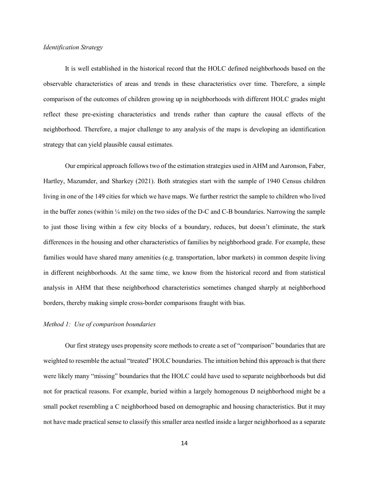#### *Identification Strategy*

It is well established in the historical record that the HOLC defined neighborhoods based on the observable characteristics of areas and trends in these characteristics over time. Therefore, a simple comparison of the outcomes of children growing up in neighborhoods with different HOLC grades might reflect these pre-existing characteristics and trends rather than capture the causal effects of the neighborhood. Therefore, a major challenge to any analysis of the maps is developing an identification strategy that can yield plausible causal estimates.

Our empirical approach follows two of the estimation strategies used in AHM and Aaronson, Faber, Hartley, Mazumder, and Sharkey (2021). Both strategies start with the sample of 1940 Census children living in one of the 149 cities for which we have maps. We further restrict the sample to children who lived in the buffer zones (within  $\frac{1}{4}$  mile) on the two sides of the D-C and C-B boundaries. Narrowing the sample to just those living within a few city blocks of a boundary, reduces, but doesn't eliminate, the stark differences in the housing and other characteristics of families by neighborhood grade. For example, these families would have shared many amenities (e.g. transportation, labor markets) in common despite living in different neighborhoods. At the same time, we know from the historical record and from statistical analysis in AHM that these neighborhood characteristics sometimes changed sharply at neighborhood borders, thereby making simple cross-border comparisons fraught with bias.

### *Method 1: Use of comparison boundaries*

Our first strategy uses propensity score methods to create a set of "comparison" boundaries that are weighted to resemble the actual "treated" HOLC boundaries. The intuition behind this approach is that there were likely many "missing" boundaries that the HOLC could have used to separate neighborhoods but did not for practical reasons. For example, buried within a largely homogenous D neighborhood might be a small pocket resembling a C neighborhood based on demographic and housing characteristics. But it may not have made practical sense to classify this smaller area nestled inside a larger neighborhood as a separate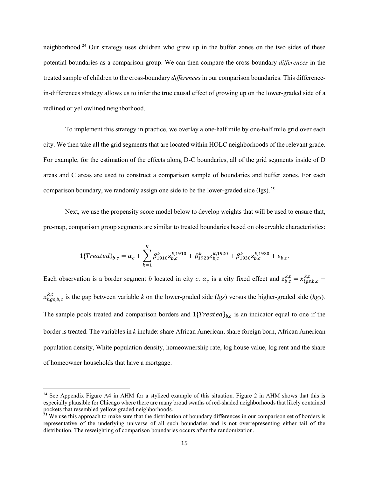neighborhood.[24](#page-15-0) Our strategy uses children who grew up in the buffer zones on the two sides of these potential boundaries as a comparison group. We can then compare the cross-boundary *differences* in the treated sample of children to the cross-boundary *differences* in our comparison boundaries. This differencein-differences strategy allows us to infer the true causal effect of growing up on the lower-graded side of a redlined or yellowlined neighborhood.

To implement this strategy in practice, we overlay a one-half mile by one-half mile grid over each city. We then take all the grid segments that are located within HOLC neighborhoods of the relevant grade. For example, for the estimation of the effects along D-C boundaries, all of the grid segments inside of D areas and C areas are used to construct a comparison sample of boundaries and buffer zones. For each comparison boundary, we randomly assign one side to be the lower-graded side  $(lgs).^{25}$  $(lgs).^{25}$  $(lgs).^{25}$ 

Next, we use the propensity score model below to develop weights that will be used to ensure that, pre-map, comparison group segments are similar to treated boundaries based on observable characteristics:

$$
1\{Treated\}_{b,c} = \alpha_c + \sum_{k=1}^{K} \beta_{1910}^{k} z_{b,c}^{k,1910} + \beta_{1920}^{k} z_{b,c}^{k,1920} + \beta_{1930}^{k} z_{b,c}^{k,1930} + \epsilon_{b,c}.
$$

Each observation is a border segment *b* located in city *c*.  $\alpha_c$  is a city fixed effect and  $z_{b,c}^{k,t} = x_{lgs,b,c}^{k,t}$  $x_{hgs,b,c}^{k,t}$  is the gap between variable *k* on the lower-graded side (*lgs*) versus the higher-graded side (*hgs*). The sample pools treated and comparison borders and  $1{Treated}_{bc}$  is an indicator equal to one if the border is treated. The variables in *k* include: share African American, share foreign born, African American population density, White population density, homeownership rate, log house value, log rent and the share of homeowner households that have a mortgage.

 $\overline{a}$ 

<span id="page-15-0"></span><sup>&</sup>lt;sup>24</sup> See Appendix Figure A4 in AHM for a stylized example of this situation. Figure 2 in AHM shows that this is especially plausible for Chicago where there are many broad swaths of red-shaded neighborhoods that likely contained pockets that resembled yellow graded neighborhoods.

<span id="page-15-1"></span><sup>&</sup>lt;sup>25</sup> We use this approach to make sure that the distribution of boundary differences in our comparison set of borders is representative of the underlying universe of all such boundaries and is not overrepresenting either tail of the distribution. The reweighting of comparison boundaries occurs after the randomization.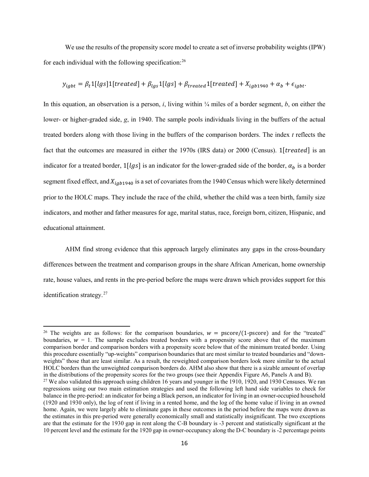We use the results of the propensity score model to create a set of inverse probability weights (IPW) for each individual with the following specification: [26](#page-16-0) 

$$
y_{igbt} = \beta_t 1[lg s] 1[treated] + \beta_{lg s} 1[lg s] + \beta_{treated} 1[treated] + X_{igb1940} + \alpha_b + \epsilon_{igbt}.
$$

In this equation, an observation is a person, *i*, living within ¼ miles of a border segment, *b*, on either the lower- or higher-graded side, *g*, in 1940. The sample pools individuals living in the buffers of the actual treated borders along with those living in the buffers of the comparison borders. The index *t* reflects the fact that the outcomes are measured in either the 1970s (IRS data) or 2000 (Census).  $1[treated]$  is an indicator for a treated border,  $1[lgs]$  is an indicator for the lower-graded side of the border,  $\alpha_b$  is a border segment fixed effect, and  $X_{iab1940}$  is a set of covariates from the 1940 Census which were likely determined prior to the HOLC maps. They include the race of the child, whether the child was a teen birth, family size indicators, and mother and father measures for age, marital status, race, foreign born, citizen, Hispanic, and educational attainment.

AHM find strong evidence that this approach largely eliminates any gaps in the cross-boundary differences between the treatment and comparison groups in the share African American, home ownership rate, house values, and rents in the pre-period before the maps were drawn which provides support for this identification strategy.<sup>[27](#page-16-1)</sup>

 $\overline{\phantom{a}}$ 

<span id="page-16-0"></span><sup>&</sup>lt;sup>26</sup> The weights are as follows: for the comparison boundaries,  $w = pscore/(1-pscore)$  and for the "treated" boundaries,  $w = 1$ . The sample excludes treated borders with a propensity score above that of the maximum comparison border and comparison borders with a propensity score below that of the minimum treated border. Using this procedure essentially "up-weights" comparison boundaries that are most similar to treated boundaries and "downweights" those that are least similar. As a result, the reweighted comparison borders look more similar to the actual HOLC borders than the unweighted comparison borders do. AHM also show that there is a sizable amount of overlap in the distributions of the propensity scores for the two groups (see their Appendix Figure A6, Panels A and B

<span id="page-16-1"></span><sup>&</sup>lt;sup>27</sup> We also validated this approach using children 16 years and younger in the 1910, 1920, and 1930 Censuses. We ran regressions using our two main estimation strategies and used the following left hand side variables to check for balance in the pre-period: an indicator for being a Black person, an indicator for living in an owner-occupied household (1920 and 1930 only), the log of rent if living in a rented home, and the log of the home value if living in an owned home. Again, we were largely able to eliminate gaps in these outcomes in the period before the maps were drawn as the estimates in this pre-period were generally economically small and statistically insignificant. The two exceptions are that the estimate for the 1930 gap in rent along the C-B boundary is -3 percent and statistically significant at the 10 percent level and the estimate for the 1920 gap in owner-occupancy along the D-C boundary is -2 percentage points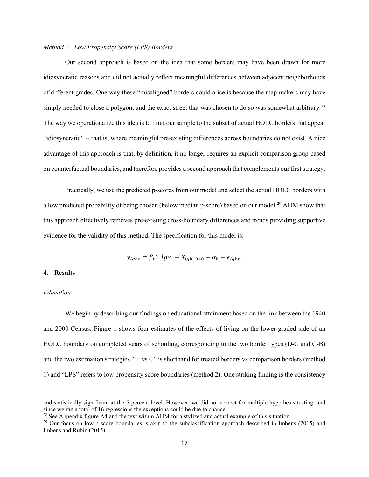#### *Method 2: Low Propensity Score (LPS) Borders*

Our second approach is based on the idea that some borders may have been drawn for more idiosyncratic reasons and did not actually reflect meaningful differences between adjacent neighborhoods of different grades. One way these "misaligned" borders could arise is because the map makers may have simply needed to close a polygon, and the exact street that was chosen to do so was somewhat arbitrary.<sup>[28](#page-17-0)</sup> The way we operationalize this idea is to limit our sample to the subset of actual HOLC borders that appear "idiosyncratic" -- that is, where meaningful pre-existing differences across boundaries do not exist. A nice advantage of this approach is that, by definition, it no longer requires an explicit comparison group based on counterfactual boundaries, and therefore provides a second approach that complements our first strategy.

Practically, we use the predicted p-scores from our model and select the actual HOLC borders with a low predicted probability of being chosen (below median p-score) based on our model.<sup>[29](#page-17-1)</sup> AHM show that this approach effectively removes pre-existing cross-boundary differences and trends providing supportive evidence for the validity of this method. The specification for this model is:

$$
y_{igbt} = \beta_t 1[lg s] + X_{igb1940} + \alpha_b + \epsilon_{igbt}.
$$

# **4. Results**

#### *Education*

 $\overline{\phantom{a}}$ 

We begin by describing our findings on educational attainment based on the link between the 1940 and 2000 Census. Figure 1 shows four estimates of the effects of living on the lower-graded side of an HOLC boundary on completed years of schooling, corresponding to the two border types (D-C and C-B) and the two estimation strategies. "T vs C" is shorthand for treated borders vs comparison borders (method 1) and "LPS" refers to low propensity score boundaries (method 2). One striking finding is the consistency

and statistically significant at the 5 percent level. However, we did not correct for multiple hypothesis testing, and since we ran a total of 16 regressions the exceptions could be due to chance.<br><sup>28</sup> See Appendix figure A4 and the text within AHM for a stylized and actual example of this situation.

<span id="page-17-0"></span>

<span id="page-17-1"></span><sup>&</sup>lt;sup>29</sup> Our focus on low-p-score boundaries is akin to the subclassification approach described in Imbens (2015) and Imbens and Rubin (2015).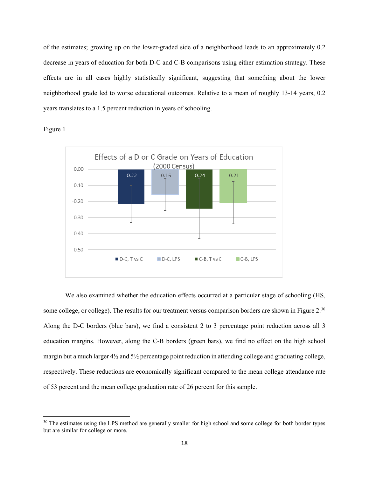of the estimates; growing up on the lower-graded side of a neighborhood leads to an approximately 0.2 decrease in years of education for both D-C and C-B comparisons using either estimation strategy. These effects are in all cases highly statistically significant, suggesting that something about the lower neighborhood grade led to worse educational outcomes. Relative to a mean of roughly 13-14 years, 0.2 years translates to a 1.5 percent reduction in years of schooling.

Figure 1

l



We also examined whether the education effects occurred at a particular stage of schooling (HS, some college, or college). The results for our treatment versus comparison borders are shown in Figure 2.<sup>[30](#page-18-0)</sup> Along the D-C borders (blue bars), we find a consistent 2 to 3 percentage point reduction across all 3 education margins. However, along the C-B borders (green bars), we find no effect on the high school margin but a much larger 4½ and 5½ percentage point reduction in attending college and graduating college, respectively. These reductions are economically significant compared to the mean college attendance rate of 53 percent and the mean college graduation rate of 26 percent for this sample.

<span id="page-18-0"></span><sup>&</sup>lt;sup>30</sup> The estimates using the LPS method are generally smaller for high school and some college for both border types but are similar for college or more.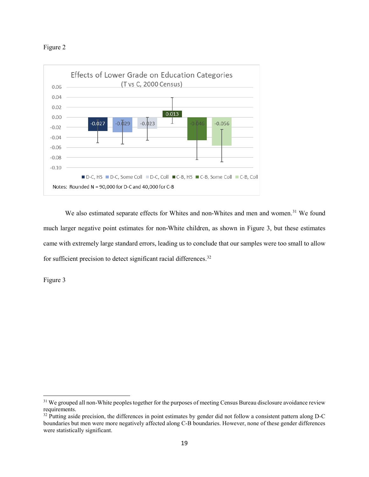



We also estimated separate effects for Whites and non-Whites and men and women.<sup>[31](#page-19-0)</sup> We found much larger negative point estimates for non-White children, as shown in Figure 3, but these estimates came with extremely large standard errors, leading us to conclude that our samples were too small to allow for sufficient precision to detect significant racial differences.<sup>32</sup>

Figure 3

 $\overline{\phantom{a}}$ 

<span id="page-19-0"></span><sup>&</sup>lt;sup>31</sup> We grouped all non-White peoples together for the purposes of meeting Census Bureau disclosure avoidance review requirements.

<span id="page-19-1"></span> $32$  Putting aside precision, the differences in point estimates by gender did not follow a consistent pattern along D-C boundaries but men were more negatively affected along C-B boundaries. However, none of these gender differences were statistically significant.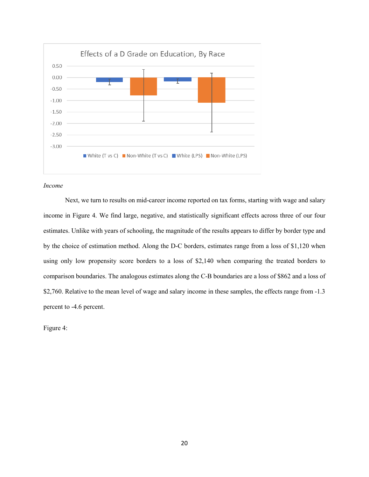

### *Income*

Next, we turn to results on mid-career income reported on tax forms, starting with wage and salary income in Figure 4. We find large, negative, and statistically significant effects across three of our four estimates. Unlike with years of schooling, the magnitude of the results appears to differ by border type and by the choice of estimation method. Along the D-C borders, estimates range from a loss of \$1,120 when using only low propensity score borders to a loss of \$2,140 when comparing the treated borders to comparison boundaries. The analogous estimates along the C-B boundaries are a loss of \$862 and a loss of \$2,760. Relative to the mean level of wage and salary income in these samples, the effects range from -1.3 percent to -4.6 percent.

Figure 4: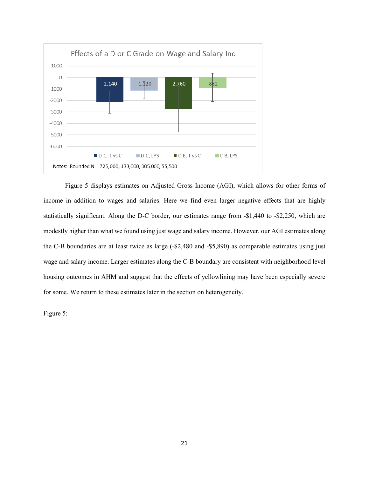

Figure 5 displays estimates on Adjusted Gross Income (AGI), which allows for other forms of income in addition to wages and salaries. Here we find even larger negative effects that are highly statistically significant. Along the D-C border, our estimates range from -\$1,440 to -\$2,250, which are modestly higher than what we found using just wage and salary income. However, our AGI estimates along the C-B boundaries are at least twice as large (-\$2,480 and -\$5,890) as comparable estimates using just wage and salary income. Larger estimates along the C-B boundary are consistent with neighborhood level housing outcomes in AHM and suggest that the effects of yellowlining may have been especially severe for some. We return to these estimates later in the section on heterogeneity.

Figure 5: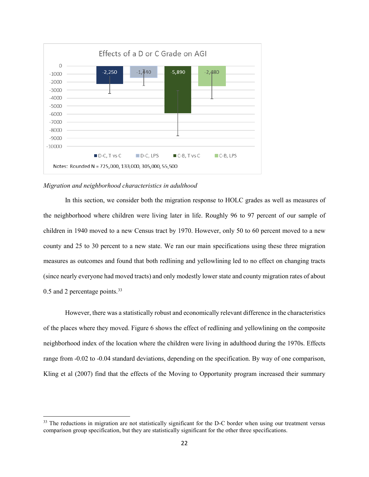

### *Migration and neighborhood characteristics in adulthood*

l

In this section, we consider both the migration response to HOLC grades as well as measures of the neighborhood where children were living later in life. Roughly 96 to 97 percent of our sample of children in 1940 moved to a new Census tract by 1970. However, only 50 to 60 percent moved to a new county and 25 to 30 percent to a new state. We ran our main specifications using these three migration measures as outcomes and found that both redlining and yellowlining led to no effect on changing tracts (since nearly everyone had moved tracts) and only modestly lower state and county migration rates of about 0.5 and 2 percentage points.<sup>33</sup>

However, there was a statistically robust and economically relevant difference in the characteristics of the places where they moved. Figure 6 shows the effect of redlining and yellowlining on the composite neighborhood index of the location where the children were living in adulthood during the 1970s. Effects range from -0.02 to -0.04 standard deviations, depending on the specification. By way of one comparison, Kling et al (2007) find that the effects of the Moving to Opportunity program increased their summary

<span id="page-22-0"></span><sup>&</sup>lt;sup>33</sup> The reductions in migration are not statistically significant for the D-C border when using our treatment versus comparison group specification, but they are statistically significant for the other three specifications.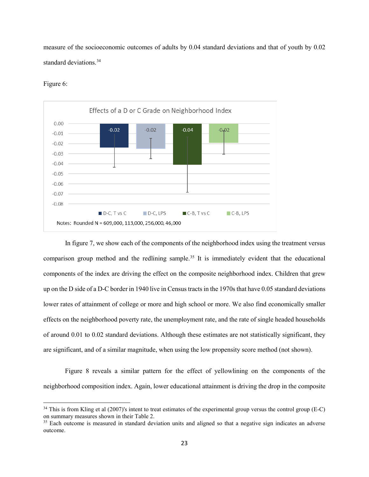measure of the socioeconomic outcomes of adults by 0.04 standard deviations and that of youth by 0.02 standard deviations.<sup>34</sup>



Figure 6:

l

In figure 7, we show each of the components of the neighborhood index using the treatment versus comparison group method and the redlining sample.<sup>[35](#page-23-1)</sup> It is immediately evident that the educational components of the index are driving the effect on the composite neighborhood index. Children that grew up on the D side of a D-C border in 1940 live in Census tracts in the 1970s that have 0.05 standard deviations lower rates of attainment of college or more and high school or more. We also find economically smaller effects on the neighborhood poverty rate, the unemployment rate, and the rate of single headed households of around 0.01 to 0.02 standard deviations. Although these estimates are not statistically significant, they are significant, and of a similar magnitude, when using the low propensity score method (not shown).

Figure 8 reveals a similar pattern for the effect of yellowlining on the components of the neighborhood composition index. Again, lower educational attainment is driving the drop in the composite

<span id="page-23-0"></span><sup>&</sup>lt;sup>34</sup> This is from Kling et al (2007)'s intent to treat estimates of the experimental group versus the control group (E-C) on summary measures shown in their Table 2.

<span id="page-23-1"></span><sup>&</sup>lt;sup>35</sup> Each outcome is measured in standard deviation units and aligned so that a negative sign indicates an adverse outcome.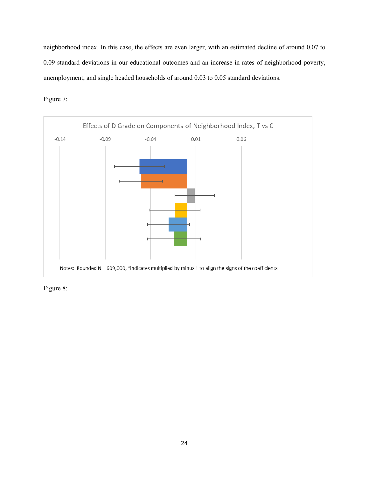neighborhood index. In this case, the effects are even larger, with an estimated decline of around 0.07 to 0.09 standard deviations in our educational outcomes and an increase in rates of neighborhood poverty, unemployment, and single headed households of around 0.03 to 0.05 standard deviations.

Figure 7:



Figure 8: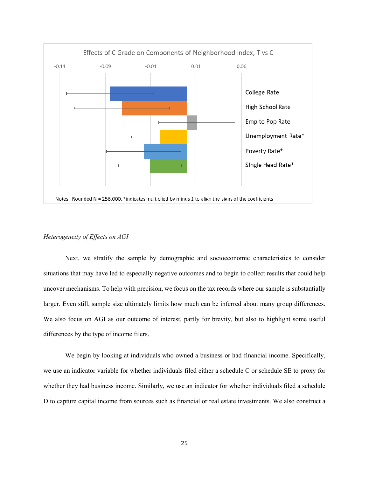

#### *Heterogeneity of Effects on AGI*

Next, we stratify the sample by demographic and socioeconomic characteristics to consider situations that may have led to especially negative outcomes and to begin to collect results that could help uncover mechanisms. To help with precision, we focus on the tax records where our sample is substantially larger. Even still, sample size ultimately limits how much can be inferred about many group differences. We also focus on AGI as our outcome of interest, partly for brevity, but also to highlight some useful differences by the type of income filers.

We begin by looking at individuals who owned a business or had financial income. Specifically, we use an indicator variable for whether individuals filed either a schedule C or schedule SE to proxy for whether they had business income. Similarly, we use an indicator for whether individuals filed a schedule D to capture capital income from sources such as financial or real estate investments. We also construct a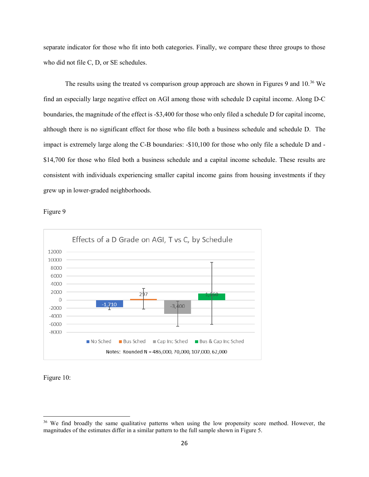separate indicator for those who fit into both categories. Finally, we compare these three groups to those who did not file C, D, or SE schedules.

The results using the treated vs comparison group approach are shown in Figures 9 and 10.<sup>[36](#page-26-0)</sup> We find an especially large negative effect on AGI among those with schedule D capital income. Along D-C boundaries, the magnitude of the effect is -\$3,400 for those who only filed a schedule D for capital income, although there is no significant effect for those who file both a business schedule and schedule D. The impact is extremely large along the C-B boundaries: -\$10,100 for those who only file a schedule D and -\$14,700 for those who filed both a business schedule and a capital income schedule. These results are consistent with individuals experiencing smaller capital income gains from housing investments if they grew up in lower-graded neighborhoods.

Figure 9



## Figure 10:

<span id="page-26-0"></span><sup>&</sup>lt;sup>36</sup> We find broadly the same qualitative patterns when using the low propensity score method. However, the magnitudes of the estimates differ in a similar pattern to the full sample shown in Figure 5.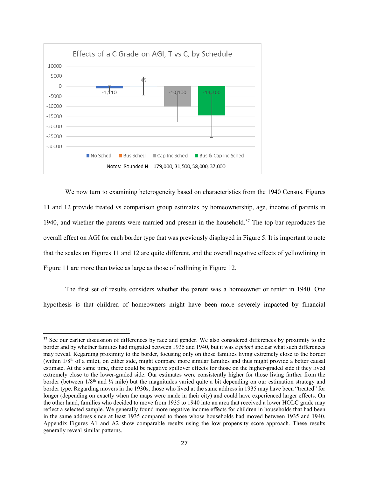

We now turn to examining heterogeneity based on characteristics from the 1940 Census. Figures 11 and 12 provide treated vs comparison group estimates by homeownership, age, income of parents in 1940, and whether the parents were married and present in the household. [37](#page-27-0) The top bar reproduces the overall effect on AGI for each border type that was previously displayed in Figure 5. It is important to note that the scales on Figures 11 and 12 are quite different, and the overall negative effects of yellowlining in Figure 11 are more than twice as large as those of redlining in Figure 12.

The first set of results considers whether the parent was a homeowner or renter in 1940. One hypothesis is that children of homeowners might have been more severely impacted by financial

<span id="page-27-0"></span><sup>&</sup>lt;sup>37</sup> See our earlier discussion of differences by race and gender. We also considered differences by proximity to the border and by whether families had migrated between 1935 and 1940, but it was *a priori* unclear what such differences may reveal. Regarding proximity to the border, focusing only on those families living extremely close to the border (within  $1/8<sup>th</sup>$  of a mile), on either side, might compare more similar families and thus might provide a better causal estimate. At the same time, there could be negative spillover effects for those on the higher-graded side if they lived extremely close to the lower-graded side. Our estimates were consistently higher for those living farther from the border (between  $1/8<sup>th</sup>$  and  $\frac{1}{4}$  mile) but the magnitudes varied quite a bit depending on our estimation strategy and border type. Regarding movers in the 1930s, those who lived at the same address in 1935 may have been "treated" for longer (depending on exactly when the maps were made in their city) and could have experienced larger effects. On the other hand, families who decided to move from 1935 to 1940 into an area that received a lower HOLC grade may reflect a selected sample. We generally found more negative income effects for children in households that had been in the same address since at least 1935 compared to those whose households had moved between 1935 and 1940. Appendix Figures A1 and A2 show comparable results using the low propensity score approach. These results generally reveal similar patterns.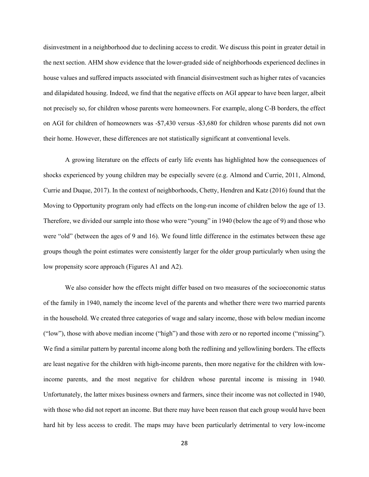disinvestment in a neighborhood due to declining access to credit. We discuss this point in greater detail in the next section. AHM show evidence that the lower-graded side of neighborhoods experienced declines in house values and suffered impacts associated with financial disinvestment such as higher rates of vacancies and dilapidated housing. Indeed, we find that the negative effects on AGI appear to have been larger, albeit not precisely so, for children whose parents were homeowners. For example, along C-B borders, the effect on AGI for children of homeowners was -\$7,430 versus -\$3,680 for children whose parents did not own their home. However, these differences are not statistically significant at conventional levels.

A growing literature on the effects of early life events has highlighted how the consequences of shocks experienced by young children may be especially severe (e.g. Almond and Currie, 2011, Almond, Currie and Duque, 2017). In the context of neighborhoods, Chetty, Hendren and Katz (2016) found that the Moving to Opportunity program only had effects on the long-run income of children below the age of 13. Therefore, we divided our sample into those who were "young" in 1940 (below the age of 9) and those who were "old" (between the ages of 9 and 16). We found little difference in the estimates between these age groups though the point estimates were consistently larger for the older group particularly when using the low propensity score approach (Figures A1 and A2).

We also consider how the effects might differ based on two measures of the socioeconomic status of the family in 1940, namely the income level of the parents and whether there were two married parents in the household. We created three categories of wage and salary income, those with below median income ("low"), those with above median income ("high") and those with zero or no reported income ("missing"). We find a similar pattern by parental income along both the redlining and yellowlining borders. The effects are least negative for the children with high-income parents, then more negative for the children with lowincome parents, and the most negative for children whose parental income is missing in 1940. Unfortunately, the latter mixes business owners and farmers, since their income was not collected in 1940, with those who did not report an income. But there may have been reason that each group would have been hard hit by less access to credit. The maps may have been particularly detrimental to very low-income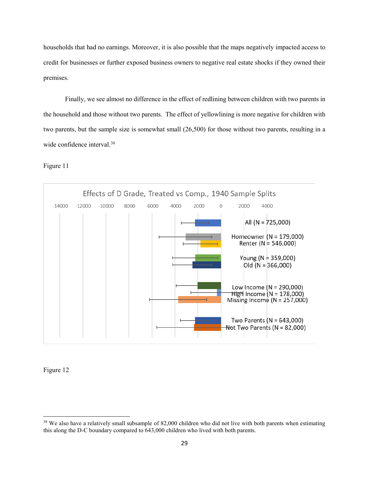households that had no earnings. Moreover, it is also possible that the maps negatively impacted access to credit for businesses or further exposed business owners to negative real estate shocks if they owned their premises.

Finally, we see almost no difference in the effect of redlining between children with two parents in the household and those without two parents. The effect of yellowlining is more negative for children with two parents, but the sample size is somewhat small (26,500) for those without two parents, resulting in a wide confidence interval.<sup>[38](#page-29-0)</sup>



Figure 11

# Figure 12

<span id="page-29-0"></span><sup>&</sup>lt;sup>38</sup> We also have a relatively small subsample of 82,000 children who did not live with both parents when estimating this along the D-C boundary compared to 643,000 children who lived with both parents.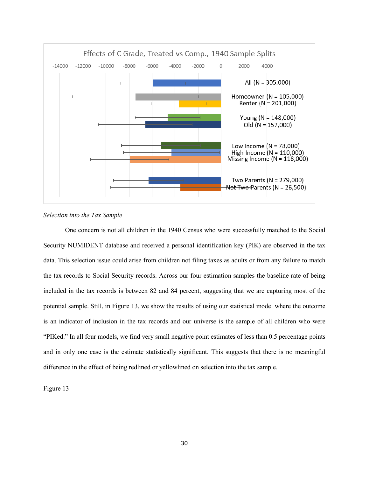

# *Selection into the Tax Sample*

One concern is not all children in the 1940 Census who were successfully matched to the Social Security NUMIDENT database and received a personal identification key (PIK) are observed in the tax data. This selection issue could arise from children not filing taxes as adults or from any failure to match the tax records to Social Security records. Across our four estimation samples the baseline rate of being included in the tax records is between 82 and 84 percent, suggesting that we are capturing most of the potential sample. Still, in Figure 13, we show the results of using our statistical model where the outcome is an indicator of inclusion in the tax records and our universe is the sample of all children who were "PIKed." In all four models, we find very small negative point estimates of less than 0.5 percentage points and in only one case is the estimate statistically significant. This suggests that there is no meaningful difference in the effect of being redlined or yellowlined on selection into the tax sample.

Figure 13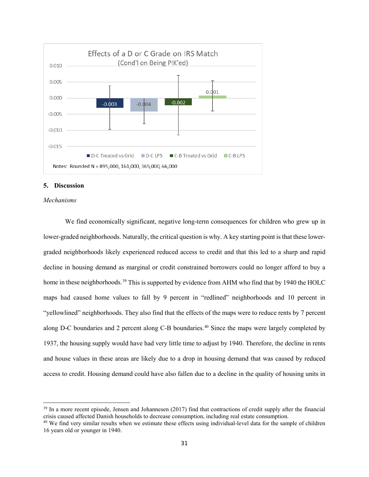

### **5. Discussion**

#### *Mechanisms*

l

We find economically significant, negative long-term consequences for children who grew up in lower-graded neighborhoods. Naturally, the critical question is why. A key starting point is that these lowergraded neighborhoods likely experienced reduced access to credit and that this led to a sharp and rapid decline in housing demand as marginal or credit constrained borrowers could no longer afford to buy a home in these neighborhoods.<sup>[39](#page-31-0)</sup> This is supported by evidence from AHM who find that by 1940 the HOLC maps had caused home values to fall by 9 percent in "redlined" neighborhoods and 10 percent in "yellowlined" neighborhoods. They also find that the effects of the maps were to reduce rents by 7 percent along D-C boundaries and 2 percent along C-B boundaries. [40](#page-31-1) Since the maps were largely completed by 1937, the housing supply would have had very little time to adjust by 1940. Therefore, the decline in rents and house values in these areas are likely due to a drop in housing demand that was caused by reduced access to credit. Housing demand could have also fallen due to a decline in the quality of housing units in

<span id="page-31-0"></span> $39$  In a more recent episode, Jensen and Johannesen (2017) find that contractions of credit supply after the financial crisis caused affected Danish households to decrease consumption, including real estate consumption.

<span id="page-31-1"></span> $40$  We find very similar results when we estimate these effects using individual-level data for the sample of children 16 years old or younger in 1940.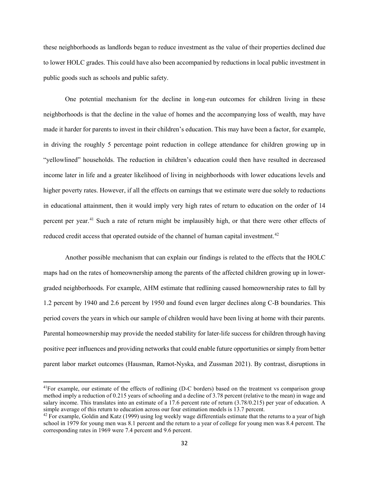these neighborhoods as landlords began to reduce investment as the value of their properties declined due to lower HOLC grades. This could have also been accompanied by reductions in local public investment in public goods such as schools and public safety.

One potential mechanism for the decline in long-run outcomes for children living in these neighborhoods is that the decline in the value of homes and the accompanying loss of wealth, may have made it harder for parents to invest in their children's education. This may have been a factor, for example, in driving the roughly 5 percentage point reduction in college attendance for children growing up in "yellowlined" households. The reduction in children's education could then have resulted in decreased income later in life and a greater likelihood of living in neighborhoods with lower educations levels and higher poverty rates. However, if all the effects on earnings that we estimate were due solely to reductions in educational attainment, then it would imply very high rates of return to education on the order of 14 percent per year.<sup>[41](#page-32-0)</sup> Such a rate of return might be implausibly high, or that there were other effects of reduced credit access that operated outside of the channel of human capital investment.<sup>42</sup>

Another possible mechanism that can explain our findings is related to the effects that the HOLC maps had on the rates of homeownership among the parents of the affected children growing up in lowergraded neighborhoods. For example, AHM estimate that redlining caused homeownership rates to fall by 1.2 percent by 1940 and 2.6 percent by 1950 and found even larger declines along C-B boundaries. This period covers the years in which our sample of children would have been living at home with their parents. Parental homeownership may provide the needed stability for later-life success for children through having positive peer influences and providing networks that could enable future opportunities or simply from better parent labor market outcomes (Hausman, Ramot-Nyska, and Zussman 2021). By contrast, disruptions in

<span id="page-32-0"></span><sup>&</sup>lt;sup>41</sup>For example, our estimate of the effects of redlining (D-C borders) based on the treatment vs comparison group method imply a reduction of 0.215 years of schooling and a decline of 3.78 percent (relative to the mean) in wage and salary income. This translates into an estimate of a 17.6 percent rate of return (3.78/0.215) per year of education. A simple average of this return to education across our four estimation models is 13.7 percent.

<span id="page-32-1"></span> $42$  For example, Goldin and Katz (1999) using log weekly wage differentials estimate that the returns to a year of high school in 1979 for young men was 8.1 percent and the return to a year of college for young men was 8.4 percent. The corresponding rates in 1969 were 7.4 percent and 9.6 percent.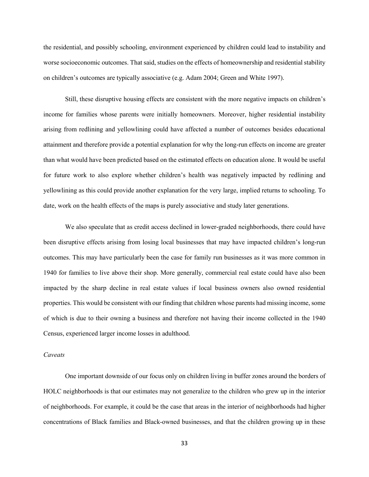the residential, and possibly schooling, environment experienced by children could lead to instability and worse socioeconomic outcomes. That said, studies on the effects of homeownership and residential stability on children's outcomes are typically associative (e.g. Adam 2004; Green and White 1997).

Still, these disruptive housing effects are consistent with the more negative impacts on children's income for families whose parents were initially homeowners. Moreover, higher residential instability arising from redlining and yellowlining could have affected a number of outcomes besides educational attainment and therefore provide a potential explanation for why the long-run effects on income are greater than what would have been predicted based on the estimated effects on education alone. It would be useful for future work to also explore whether children's health was negatively impacted by redlining and yellowlining as this could provide another explanation for the very large, implied returns to schooling. To date, work on the health effects of the maps is purely associative and study later generations.

We also speculate that as credit access declined in lower-graded neighborhoods, there could have been disruptive effects arising from losing local businesses that may have impacted children's long-run outcomes. This may have particularly been the case for family run businesses as it was more common in 1940 for families to live above their shop. More generally, commercial real estate could have also been impacted by the sharp decline in real estate values if local business owners also owned residential properties. This would be consistent with our finding that children whose parents had missing income, some of which is due to their owning a business and therefore not having their income collected in the 1940 Census, experienced larger income losses in adulthood.

#### *Caveats*

One important downside of our focus only on children living in buffer zones around the borders of HOLC neighborhoods is that our estimates may not generalize to the children who grew up in the interior of neighborhoods. For example, it could be the case that areas in the interior of neighborhoods had higher concentrations of Black families and Black-owned businesses, and that the children growing up in these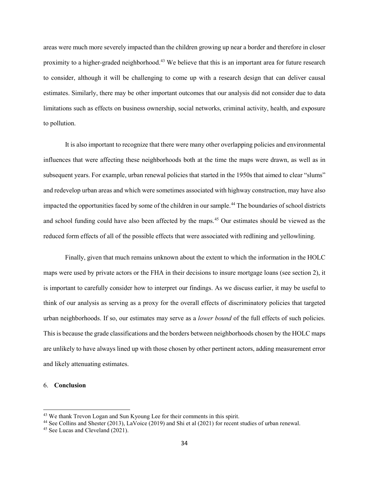areas were much more severely impacted than the children growing up near a border and therefore in closer proximity to a higher-graded neighborhood.[43](#page-34-0) We believe that this is an important area for future research to consider, although it will be challenging to come up with a research design that can deliver causal estimates. Similarly, there may be other important outcomes that our analysis did not consider due to data limitations such as effects on business ownership, social networks, criminal activity, health, and exposure to pollution.

It is also important to recognize that there were many other overlapping policies and environmental influences that were affecting these neighborhoods both at the time the maps were drawn, as well as in subsequent years. For example, urban renewal policies that started in the 1950s that aimed to clear "slums" and redevelop urban areas and which were sometimes associated with highway construction, may have also impacted the opportunities faced by some of the children in our sample.<sup>[44](#page-34-1)</sup> The boundaries of school districts and school funding could have also been affected by the maps.<sup>[45](#page-34-2)</sup> Our estimates should be viewed as the reduced form effects of all of the possible effects that were associated with redlining and yellowlining.

Finally, given that much remains unknown about the extent to which the information in the HOLC maps were used by private actors or the FHA in their decisions to insure mortgage loans (see section 2), it is important to carefully consider how to interpret our findings. As we discuss earlier, it may be useful to think of our analysis as serving as a proxy for the overall effects of discriminatory policies that targeted urban neighborhoods. If so, our estimates may serve as a *lower bound* of the full effects of such policies. This is because the grade classifications and the borders between neighborhoods chosen by the HOLC maps are unlikely to have always lined up with those chosen by other pertinent actors, adding measurement error and likely attenuating estimates.

### 6. **Conclusion**

<span id="page-34-0"></span><sup>43</sup> We thank Trevon Logan and Sun Kyoung Lee for their comments in this spirit.

<span id="page-34-1"></span><sup>44</sup> See Collins and Shester (2013), LaVoice (2019) and Shi et al (2021) for recent studies of urban renewal.

<span id="page-34-2"></span><sup>45</sup> See Lucas and Cleveland (2021).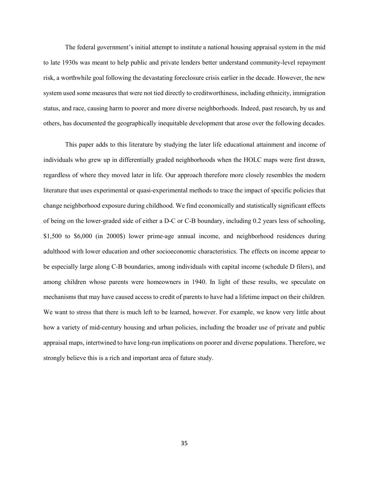The federal government's initial attempt to institute a national housing appraisal system in the mid to late 1930s was meant to help public and private lenders better understand community-level repayment risk, a worthwhile goal following the devastating foreclosure crisis earlier in the decade. However, the new system used some measures that were not tied directly to creditworthiness, including ethnicity, immigration status, and race, causing harm to poorer and more diverse neighborhoods. Indeed, past research, by us and others, has documented the geographically inequitable development that arose over the following decades.

This paper adds to this literature by studying the later life educational attainment and income of individuals who grew up in differentially graded neighborhoods when the HOLC maps were first drawn, regardless of where they moved later in life. Our approach therefore more closely resembles the modern literature that uses experimental or quasi-experimental methods to trace the impact of specific policies that change neighborhood exposure during childhood. We find economically and statistically significant effects of being on the lower-graded side of either a D-C or C-B boundary, including 0.2 years less of schooling, \$1,500 to \$6,000 (in 2000\$) lower prime-age annual income, and neighborhood residences during adulthood with lower education and other socioeconomic characteristics. The effects on income appear to be especially large along C-B boundaries, among individuals with capital income (schedule D filers), and among children whose parents were homeowners in 1940. In light of these results, we speculate on mechanisms that may have caused access to credit of parents to have had a lifetime impact on their children. We want to stress that there is much left to be learned, however. For example, we know very little about how a variety of mid-century housing and urban policies, including the broader use of private and public appraisal maps, intertwined to have long-run implications on poorer and diverse populations. Therefore, we strongly believe this is a rich and important area of future study.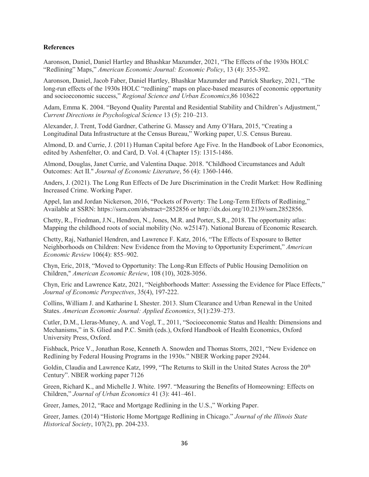#### **References**

Aaronson, Daniel, Daniel Hartley and Bhashkar Mazumder, 2021, "The Effects of the 1930s HOLC "Redlining" Maps," *American Economic Journal: Economic Policy*, 13 (4): 355-392.

Aaronson, Daniel, Jacob Faber, Daniel Hartley, Bhashkar Mazumder and Patrick Sharkey, 2021, "The long-run effects of the 1930s HOLC "redlining" maps on place-based measures of economic opportunity and socioeconomic success," *Regional Science and Urban Economics*,86 103622

Adam, Emma K. 2004. "Beyond Quality Parental and Residential Stability and Children's Adjustment," *Current Directions in Psychological Science* 13 (5): 210–213.

Alexander, J. Trent, Todd Gardner, Catherine G. Massey and Amy O'Hara, 2015, "Creating a Longitudinal Data Infrastructure at the Census Bureau," Working paper, U.S. Census Bureau.

Almond, D. and Currie, J. (2011) Human Capital before Age Five. In the Handbook of Labor Economics, edited by Ashenfelter, O. and Card, D. Vol. 4 (Chapter 15): 1315-1486.

Almond, Douglas, Janet Currie, and Valentina Duque. 2018. "Childhood Circumstances and Adult Outcomes: Act II." *Journal of Economic Literature*, 56 (4): 1360-1446.

Anders, J. (2021). The Long Run Effects of De Jure Discrimination in the Credit Market: How Redlining Increased Crime. Working Paper.

Appel, Ian and Jordan Nickerson, 2016, "Pockets of Poverty: The Long-Term Effects of Redlining," Available at SSRN: https://ssrn.com/abstract=2852856 or http://dx.doi.org/10.2139/ssrn.2852856.

Chetty, R., Friedman, J.N., Hendren, N., Jones, M.R. and Porter, S.R., 2018. The opportunity atlas: Mapping the childhood roots of social mobility (No. w25147). National Bureau of Economic Research.

Chetty, Raj, Nathaniel Hendren, and Lawrence F. Katz, 2016, "The Effects of Exposure to Better Neighborhoods on Children: New Evidence from the Moving to Opportunity Experiment," *American Economic Review* 106(4): 855–902.

Chyn, Eric, 2018, "Moved to Opportunity: The Long-Run Effects of Public Housing Demolition on Children," *American Economic Review*, 108 (10), 3028-3056.

Chyn, Eric and Lawrence Katz, 2021, "Neighborhoods Matter: Assessing the Evidence for Place Effects," *Journal of Economic Perspectives*, 35(4), 197-222.

Collins, William J. and Katharine L Shester. 2013. Slum Clearance and Urban Renewal in the United States. *American Economic Journal: Applied Economics*, 5(1):239–273.

Cutler, D.M., Lleras-Muney, A. and Vogl, T., 2011, "Socioeconomic Status and Health: Dimensions and Mechanisms," in S. Glied and P.C. Smith (eds.), Oxford Handbook of Health Economics, Oxford University Press, Oxford.

Fishback, Price V., Jonathan Rose, Kenneth A. Snowden and Thomas Storrs, 2021, "New Evidence on Redlining by Federal Housing Programs in the 1930s." NBER Working paper 29244.

Goldin, Claudia and Lawrence Katz, 1999, "The Returns to Skill in the United States Across the 20<sup>th</sup> Century". NBER working paper 7126

Green, Richard K., and Michelle J. White. 1997. "Measuring the Benefits of Homeowning: Effects on Children," *Journal of Urban Economics* 41 (3): 441–461.

Greer, James, 2012, "Race and Mortgage Redlining in the U.S.," Working Paper.

Greer, James. (2014) "Historic Home Mortgage Redlining in Chicago." *Journal of the Illinois State Historical Society*, 107(2), pp. 204-233.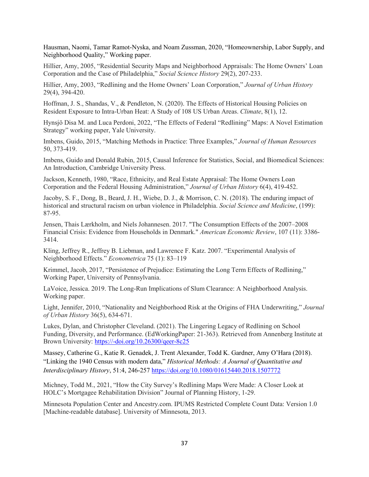Hausman, Naomi, Tamar Ramot-Nyska, and Noam Zussman, 2020, "Homeownership, Labor Supply, and Neighborhood Quality," Working paper.

Hillier, Amy, 2005, "Residential Security Maps and Neighborhood Appraisals: The Home Owners' Loan Corporation and the Case of Philadelphia," *Social Science History* 29(2), 207-233.

Hillier, Amy, 2003, "Redlining and the Home Owners' Loan Corporation," *Journal of Urban History* 29(4), 394-420.

Hoffman, J. S., Shandas, V., & Pendleton, N. (2020). The Effects of Historical Housing Policies on Resident Exposure to Intra-Urban Heat: A Study of 108 US Urban Areas. *Climate*, 8(1), 12.

Hynsjö Disa M. and Luca Perdoni, 2022, "The Effects of Federal "Redlining" Maps: A Novel Estimation Strategy" working paper, Yale University.

Imbens, Guido, 2015, "Matching Methods in Practice: Three Examples," *Journal of Human Resources* 50, 373-419.

Imbens, Guido and Donald Rubin, 2015, Causal Inference for Statistics, Social, and Biomedical Sciences: An Introduction, Cambridge University Press.

Jackson, Kenneth, 1980, "Race, Ethnicity, and Real Estate Appraisal: The Home Owners Loan Corporation and the Federal Housing Administration," *Journal of Urban History* 6(4), 419-452.

Jacoby, S. F., Dong, B., Beard, J. H., Wiebe, D. J., & Morrison, C. N. (2018). The enduring impact of historical and structural racism on urban violence in Philadelphia. *Social Science and Medicine*, (199): 87-95.

Jensen, Thais Lærkholm, and Niels Johannesen. 2017. "The Consumption Effects of the 2007–2008 Financial Crisis: Evidence from Households in Denmark." *American Economic Review*, 107 (11): 3386- 3414.

Kling, Jeffrey R., Jeffrey B. Liebman, and Lawrence F. Katz. 2007. "Experimental Analysis of Neighborhood Effects." *Econometrica* 75 (1): 83–119

Krimmel, Jacob, 2017, "Persistence of Prejudice: Estimating the Long Term Effects of Redlining," Working Paper, University of Pennsylvania.

LaVoice, Jessica. 2019. The Long-Run Implications of Slum Clearance: A Neighborhood Analysis. Working paper.

Light, Jennifer, 2010, "Nationality and Neighborhood Risk at the Origins of FHA Underwriting," *Journal of Urban History* 36(5), 634-671.

Lukes, Dylan, and Christopher Cleveland. (2021). The Lingering Legacy of Redlining on School Funding, Diversity, and Performance. (EdWorkingPaper: 21-363). Retrieved from Annenberg Institute at Brown University:<https://-doi.org/10.26300/qeer-8c25>

Massey, Catherine G., Katie R. Genadek, J. Trent Alexander, Todd K. Gardner, Amy O'Hara (2018). "Linking the 1940 Census with modern data," *Historical Methods: A Journal of Quantitative and Interdisciplinary History*, 51:4, 246-257<https://doi.org/10.1080/01615440.2018.1507772>

Michney, Todd M., 2021, "How the City Survey's Redlining Maps Were Made: A Closer Look at HOLC's Mortgagee Rehabilitation Division" Journal of Planning History, 1-29.

Minnesota Population Center and Ancestry.com. IPUMS Restricted Complete Count Data: Version 1.0 [Machine-readable database]. University of Minnesota, 2013.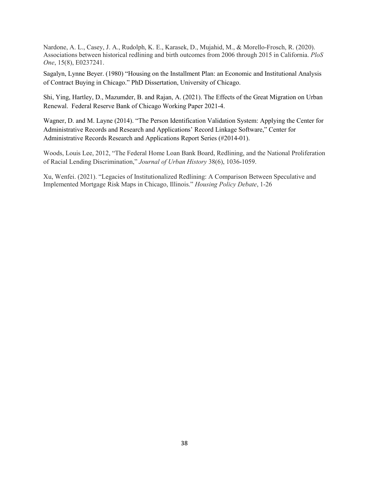Nardone, A. L., Casey, J. A., Rudolph, K. E., Karasek, D., Mujahid, M., & Morello-Frosch, R. (2020). Associations between historical redlining and birth outcomes from 2006 through 2015 in California. *PloS One*, 15(8), E0237241.

Sagalyn, Lynne Beyer. (1980) "Housing on the Installment Plan: an Economic and Institutional Analysis of Contract Buying in Chicago." PhD Dissertation, University of Chicago.

Shi, Ying, Hartley, D., Mazumder, B. and Rajan, A. (2021). The Effects of the Great Migration on Urban Renewal. Federal Reserve Bank of Chicago Working Paper 2021-4.

Wagner, D. and M. Layne (2014). "The Person Identification Validation System: Applying the Center for Administrative Records and Research and Applications' Record Linkage Software," Center for Administrative Records Research and Applications Report Series (#2014-01).

Woods, Louis Lee, 2012, "The Federal Home Loan Bank Board, Redlining, and the National Proliferation of Racial Lending Discrimination," *Journal of Urban History* 38(6), 1036-1059.

Xu, Wenfei. (2021). "Legacies of Institutionalized Redlining: A Comparison Between Speculative and Implemented Mortgage Risk Maps in Chicago, Illinois." *Housing Policy Debate*, 1-26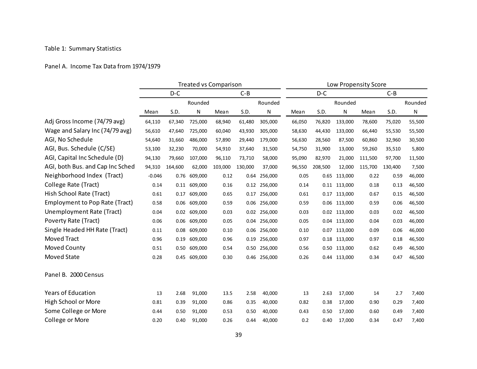# Table 1: Summary Statistics

# Panel A. Income Tax Data from 1974/1979

|                                       | <b>Treated vs Comparison</b> |         |              |         |         |              | Low Propensity Score |         |              |         |         |           |
|---------------------------------------|------------------------------|---------|--------------|---------|---------|--------------|----------------------|---------|--------------|---------|---------|-----------|
|                                       |                              | $D-C$   |              | $C-B$   |         |              | $D-C$                |         |              | $C-B$   |         |           |
|                                       | Rounded                      |         |              | Rounded |         |              | Rounded              |         |              | Rounded |         |           |
|                                       | Mean                         | S.D.    | N            | Mean    | S.D.    | ${\sf N}$    | Mean                 | S.D.    | ${\sf N}$    | Mean    | S.D.    | ${\sf N}$ |
| Adj Gross Income (74/79 avg)          | 64,110                       | 67,340  | 725,000      | 68,940  | 61,480  | 305,000      | 66,050               | 76,820  | 133,000      | 78,600  | 75,020  | 55,500    |
| Wage and Salary Inc (74/79 avg)       | 56,610                       | 47,640  | 725,000      | 60,040  | 43,930  | 305,000      | 58,630               | 44,430  | 133,000      | 66,440  | 55,530  | 55,500    |
| AGI, No Schedule                      | 54,640                       | 31,660  | 486,000      | 57,890  | 29,440  | 179,000      | 56,630               | 28,560  | 87,500       | 60,860  | 32,960  | 30,500    |
| AGI, Bus. Schedule (C/SE)             | 53,100                       | 32,230  | 70,000       | 54,910  | 37,640  | 31,500       | 54,750               | 31,900  | 13,000       | 59,260  | 35,510  | 5,800     |
| AGI, Capital Inc Schedule (D)         | 94,130                       | 79,660  | 107,000      | 96,110  | 73,710  | 58,000       | 95,090               | 82,970  | 21,000       | 111,500 | 97,700  | 11,500    |
| AGI, both Bus. and Cap Inc Sched      | 94,310                       | 164,600 | 62,000       | 103,000 | 130,000 | 37,000       | 96,550               | 208,500 | 12,000       | 115,700 | 130,400 | 7,500     |
| Neighborhood Index (Tract)            | $-0.046$                     |         | 0.76 609,000 | 0.12    |         | 0.64 256,000 | 0.05                 |         | 0.65 113,000 | 0.22    | 0.59    | 46,000    |
| College Rate (Tract)                  | 0.14                         | 0.11    | 609,000      | 0.16    |         | 0.12 256,000 | 0.14                 | 0.11    | 113,000      | 0.18    | 0.13    | 46,500    |
| Hish School Rate (Tract)              | 0.61                         | 0.17    | 609,000      | 0.65    |         | 0.17 256,000 | 0.61                 | 0.17    | 113,000      | 0.67    | 0.15    | 46,500    |
| <b>Employment to Pop Rate (Tract)</b> | 0.58                         | 0.06    | 609,000      | 0.59    |         | 0.06 256,000 | 0.59                 | 0.06    | 113,000      | 0.59    | 0.06    | 46,500    |
| Unemployment Rate (Tract)             | 0.04                         | 0.02    | 609,000      | 0.03    |         | 0.02 256,000 | 0.03                 |         | 0.02 113,000 | 0.03    | 0.02    | 46,500    |
| Poverty Rate (Tract)                  | 0.06                         | 0.06    | 609,000      | 0.05    |         | 0.04 256,000 | 0.05                 |         | 0.04 113,000 | 0.04    | 0.03    | 46,000    |
| Single Headed HH Rate (Tract)         | 0.11                         | 0.08    | 609,000      | 0.10    |         | 0.06 256,000 | 0.10                 | 0.07    | 113,000      | 0.09    | 0.06    | 46,000    |
| Moved Tract                           | 0.96                         | 0.19    | 609,000      | 0.96    |         | 0.19 256,000 | 0.97                 |         | 0.18 113,000 | 0.97    | 0.18    | 46,500    |
| Moved County                          | 0.51                         |         | 0.50 609,000 | 0.54    |         | 0.50 256,000 | 0.56                 |         | 0.50 113,000 | 0.62    | 0.49    | 46,500    |
| Moved State                           | 0.28                         | 0.45    | 609,000      | 0.30    |         | 0.46 256,000 | 0.26                 |         | 0.44 113,000 | 0.34    | 0.47    | 46,500    |
| Panel B. 2000 Census                  |                              |         |              |         |         |              |                      |         |              |         |         |           |
| <b>Years of Education</b>             | 13                           | 2.68    | 91,000       | 13.5    | 2.58    | 40,000       | 13                   | 2.63    | 17,000       | 14      | 2.7     | 7,400     |
| High School or More                   | 0.81                         | 0.39    | 91,000       | 0.86    | 0.35    | 40,000       | 0.82                 | 0.38    | 17,000       | 0.90    | 0.29    | 7,400     |
| Some College or More                  | 0.44                         | 0.50    | 91,000       | 0.53    | 0.50    | 40,000       | 0.43                 | 0.50    | 17,000       | 0.60    | 0.49    | 7,400     |
| College or More                       | 0.20                         | 0.40    | 91,000       | 0.26    | 0.44    | 40,000       | 0.2                  | 0.40    | 17,000       | 0.34    | 0.47    | 7,400     |